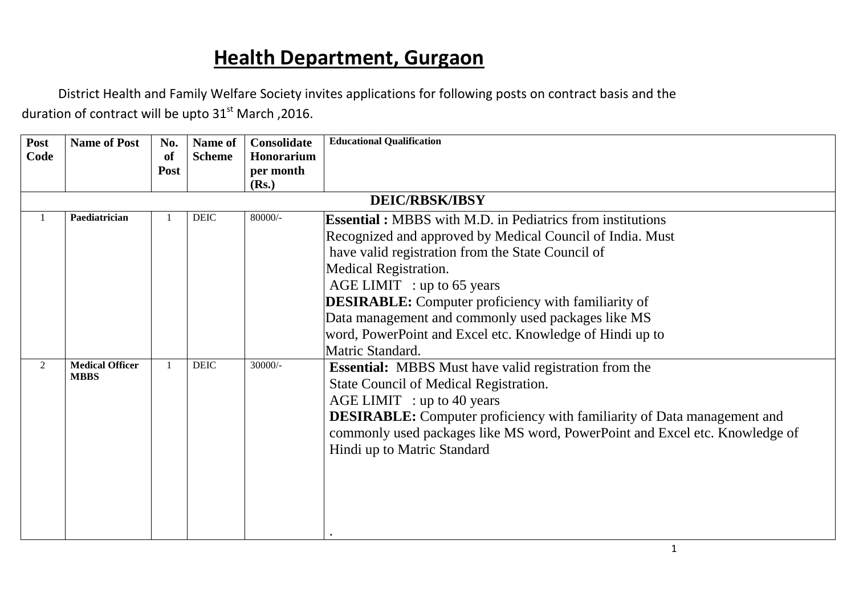# **Health Department, Gurgaon**

District Health and Family Welfare Society invites applications for following posts on contract basis and the duration of contract will be upto  $31<sup>st</sup>$  March, 2016.

| Post           | <b>Name of Post</b>    | No.  | Name of       | Consolidate | <b>Educational Qualification</b>                                               |
|----------------|------------------------|------|---------------|-------------|--------------------------------------------------------------------------------|
| Code           |                        | of   | <b>Scheme</b> | Honorarium  |                                                                                |
|                |                        | Post |               | per month   |                                                                                |
|                |                        |      |               | (Rs.)       |                                                                                |
|                |                        |      |               |             | <b>DEIC/RBSK/IBSY</b>                                                          |
|                | Paediatrician          |      | <b>DEIC</b>   | 80000/-     | <b>Essential:</b> MBBS with M.D. in Pediatrics from institutions               |
|                |                        |      |               |             | Recognized and approved by Medical Council of India. Must                      |
|                |                        |      |               |             | have valid registration from the State Council of                              |
|                |                        |      |               |             | Medical Registration.                                                          |
|                |                        |      |               |             | $AGE LIMIT$ : up to 65 years                                                   |
|                |                        |      |               |             | <b>DESIRABLE:</b> Computer proficiency with familiarity of                     |
|                |                        |      |               |             | Data management and commonly used packages like MS                             |
|                |                        |      |               |             | word, PowerPoint and Excel etc. Knowledge of Hindi up to                       |
|                |                        |      |               |             | Matric Standard.                                                               |
| $\overline{2}$ | <b>Medical Officer</b> |      | <b>DEIC</b>   | 30000/-     | <b>Essential:</b> MBBS Must have valid registration from the                   |
|                | <b>MBBS</b>            |      |               |             | State Council of Medical Registration.                                         |
|                |                        |      |               |             | $AGE LIMIT$ : up to 40 years                                                   |
|                |                        |      |               |             | <b>DESIRABLE:</b> Computer proficiency with familiarity of Data management and |
|                |                        |      |               |             | commonly used packages like MS word, PowerPoint and Excel etc. Knowledge of    |
|                |                        |      |               |             | Hindi up to Matric Standard                                                    |
|                |                        |      |               |             |                                                                                |
|                |                        |      |               |             |                                                                                |
|                |                        |      |               |             |                                                                                |
|                |                        |      |               |             |                                                                                |
|                |                        |      |               |             |                                                                                |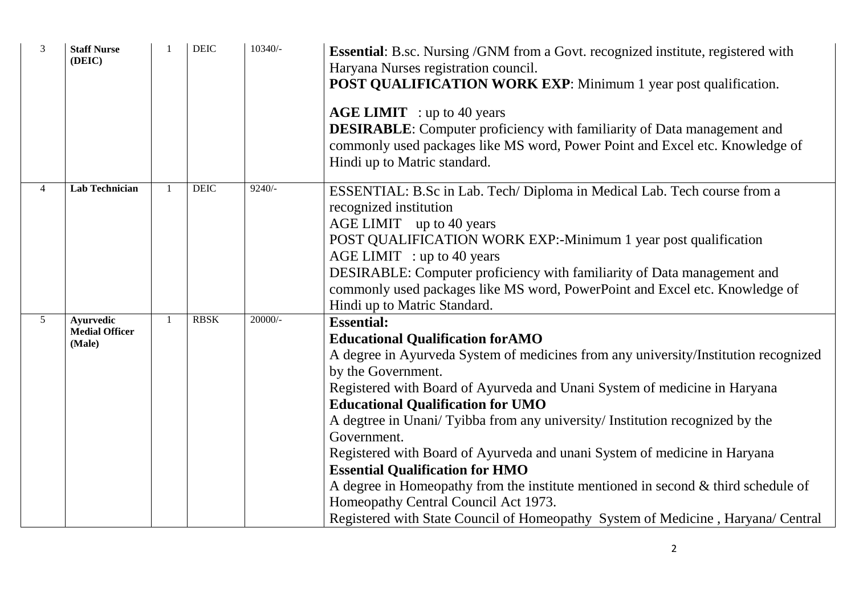| $\overline{3}$ | <b>Staff Nurse</b><br>(DEIC)                        |                | <b>DEIC</b> | 10340/-   | <b>Essential:</b> B.sc. Nursing /GNM from a Govt. recognized institute, registered with<br>Haryana Nurses registration council.<br><b>POST QUALIFICATION WORK EXP:</b> Minimum 1 year post qualification.<br><b>AGE LIMIT</b> : up to 40 years<br><b>DESIRABLE:</b> Computer proficiency with familiarity of Data management and<br>commonly used packages like MS word, Power Point and Excel etc. Knowledge of<br>Hindi up to Matric standard.                                                                                                                                                                                                                                                                                            |
|----------------|-----------------------------------------------------|----------------|-------------|-----------|---------------------------------------------------------------------------------------------------------------------------------------------------------------------------------------------------------------------------------------------------------------------------------------------------------------------------------------------------------------------------------------------------------------------------------------------------------------------------------------------------------------------------------------------------------------------------------------------------------------------------------------------------------------------------------------------------------------------------------------------|
| $\overline{4}$ | <b>Lab Technician</b>                               |                | <b>DEIC</b> | $9240/-$  | ESSENTIAL: B.Sc in Lab. Tech/ Diploma in Medical Lab. Tech course from a<br>recognized institution<br>AGE LIMIT up to 40 years<br>POST QUALIFICATION WORK EXP:-Minimum 1 year post qualification<br>$AGE LIMIT$ : up to 40 years<br>DESIRABLE: Computer proficiency with familiarity of Data management and<br>commonly used packages like MS word, PowerPoint and Excel etc. Knowledge of<br>Hindi up to Matric Standard.                                                                                                                                                                                                                                                                                                                  |
| $5^{\circ}$    | <b>Ayurvedic</b><br><b>Medial Officer</b><br>(Male) | $\overline{1}$ | <b>RBSK</b> | $20000/-$ | <b>Essential:</b><br><b>Educational Qualification for AMO</b><br>A degree in Ayurveda System of medicines from any university/Institution recognized<br>by the Government.<br>Registered with Board of Ayurveda and Unani System of medicine in Haryana<br><b>Educational Qualification for UMO</b><br>A degtree in Unani/Tyibba from any university/Institution recognized by the<br>Government.<br>Registered with Board of Ayurveda and unani System of medicine in Haryana<br><b>Essential Qualification for HMO</b><br>A degree in Homeopathy from the institute mentioned in second $\&$ third schedule of<br>Homeopathy Central Council Act 1973.<br>Registered with State Council of Homeopathy System of Medicine, Haryana/Central |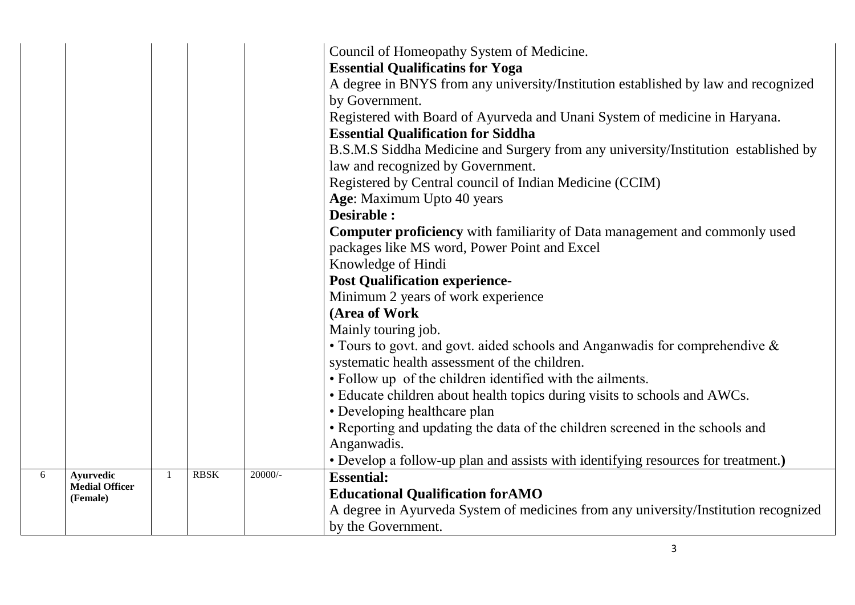|   |                                                |                |             |         | Council of Homeopathy System of Medicine.<br><b>Essential Qualificatins for Yoga</b><br>A degree in BNYS from any university/Institution established by law and recognized<br>by Government.<br>Registered with Board of Ayurveda and Unani System of medicine in Haryana.<br><b>Essential Qualification for Siddha</b><br>B.S.M.S Siddha Medicine and Surgery from any university/Institution established by<br>law and recognized by Government.<br>Registered by Central council of Indian Medicine (CCIM)<br>Age: Maximum Upto 40 years<br><b>Desirable:</b><br><b>Computer proficiency</b> with familiarity of Data management and commonly used<br>packages like MS word, Power Point and Excel<br>Knowledge of Hindi<br><b>Post Qualification experience-</b><br>Minimum 2 years of work experience<br>(Area of Work<br>Mainly touring job.<br>• Tours to govt. and govt. aided schools and Anganwadis for comprehendive $\&$<br>systematic health assessment of the children.<br>• Follow up of the children identified with the ailments.<br>• Educate children about health topics during visits to schools and AWCs.<br>• Developing healthcare plan<br>• Reporting and updating the data of the children screened in the schools and<br>Anganwadis.<br>• Develop a follow-up plan and assists with identifying resources for treatment.) |
|---|------------------------------------------------|----------------|-------------|---------|------------------------------------------------------------------------------------------------------------------------------------------------------------------------------------------------------------------------------------------------------------------------------------------------------------------------------------------------------------------------------------------------------------------------------------------------------------------------------------------------------------------------------------------------------------------------------------------------------------------------------------------------------------------------------------------------------------------------------------------------------------------------------------------------------------------------------------------------------------------------------------------------------------------------------------------------------------------------------------------------------------------------------------------------------------------------------------------------------------------------------------------------------------------------------------------------------------------------------------------------------------------------------------------------------------------------------------------------------|
| 6 | Ayurvedic<br><b>Medial Officer</b><br>(Female) | $\overline{1}$ | <b>RBSK</b> | 20000/- | <b>Essential:</b><br><b>Educational Qualification for AMO</b><br>A degree in Ayurveda System of medicines from any university/Institution recognized<br>by the Government.                                                                                                                                                                                                                                                                                                                                                                                                                                                                                                                                                                                                                                                                                                                                                                                                                                                                                                                                                                                                                                                                                                                                                                           |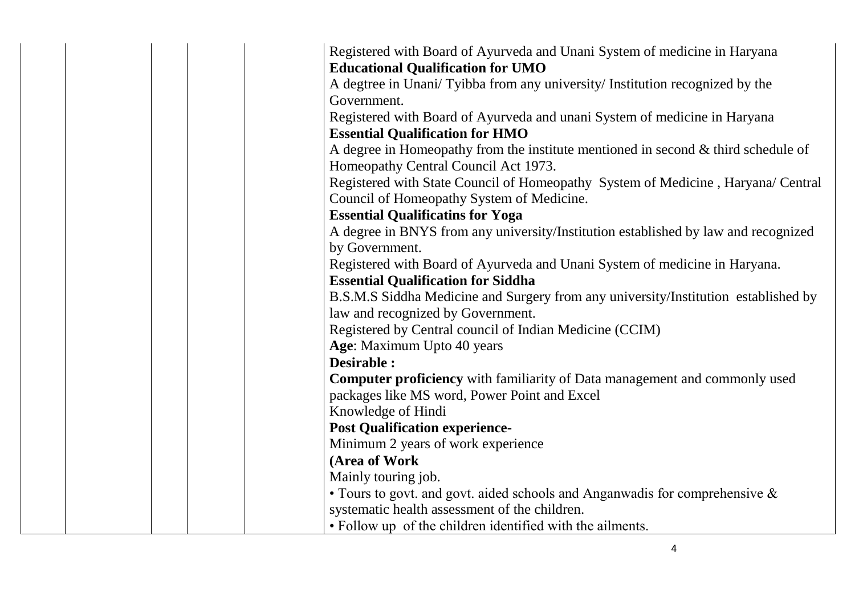|  |  | Registered with Board of Ayurveda and Unani System of medicine in Haryana            |
|--|--|--------------------------------------------------------------------------------------|
|  |  | <b>Educational Qualification for UMO</b>                                             |
|  |  | A degtree in Unani/Tyibba from any university/Institution recognized by the          |
|  |  | Government.                                                                          |
|  |  | Registered with Board of Ayurveda and unani System of medicine in Haryana            |
|  |  | <b>Essential Qualification for HMO</b>                                               |
|  |  | A degree in Homeopathy from the institute mentioned in second $\&$ third schedule of |
|  |  | Homeopathy Central Council Act 1973.                                                 |
|  |  | Registered with State Council of Homeopathy System of Medicine, Haryana/ Central     |
|  |  | Council of Homeopathy System of Medicine.                                            |
|  |  | <b>Essential Qualificatins for Yoga</b>                                              |
|  |  | A degree in BNYS from any university/Institution established by law and recognized   |
|  |  | by Government.                                                                       |
|  |  | Registered with Board of Ayurveda and Unani System of medicine in Haryana.           |
|  |  | <b>Essential Qualification for Siddha</b>                                            |
|  |  | B.S.M.S Siddha Medicine and Surgery from any university/Institution established by   |
|  |  | law and recognized by Government.                                                    |
|  |  | Registered by Central council of Indian Medicine (CCIM)                              |
|  |  | Age: Maximum Upto 40 years                                                           |
|  |  | Desirable :                                                                          |
|  |  | <b>Computer proficiency</b> with familiarity of Data management and commonly used    |
|  |  | packages like MS word, Power Point and Excel                                         |
|  |  | Knowledge of Hindi                                                                   |
|  |  | <b>Post Qualification experience-</b>                                                |
|  |  | Minimum 2 years of work experience                                                   |
|  |  | (Area of Work                                                                        |
|  |  | Mainly touring job.                                                                  |
|  |  |                                                                                      |
|  |  | • Tours to govt. and govt. aided schools and Anganwadis for comprehensive $\&$       |
|  |  | systematic health assessment of the children.                                        |
|  |  | • Follow up of the children identified with the ailments.                            |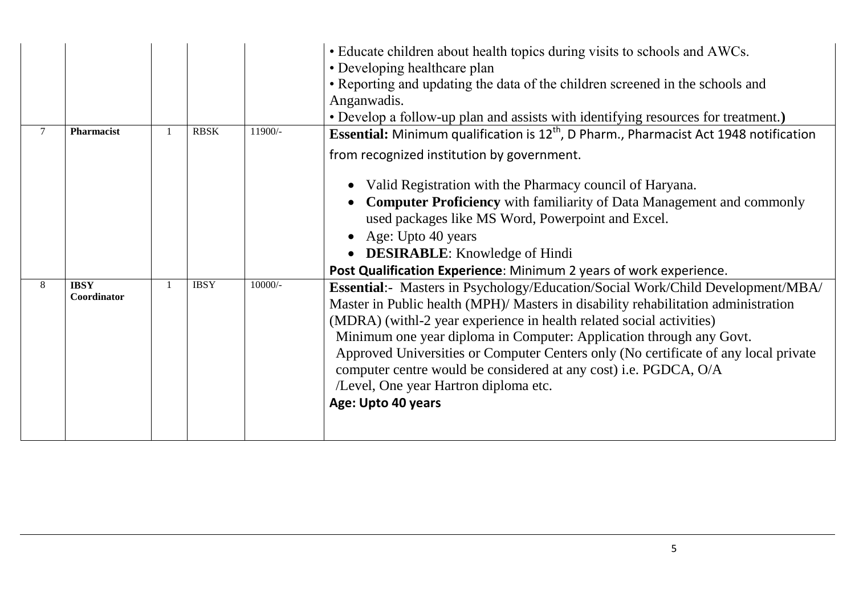|        |                            |             |         | • Educate children about health topics during visits to schools and AWCs.<br>• Developing healthcare plan<br>• Reporting and updating the data of the children screened in the schools and<br>Anganwadis.<br>• Develop a follow-up plan and assists with identifying resources for treatment.)                                                                                                                                                                                                                                                                                                                            |
|--------|----------------------------|-------------|---------|---------------------------------------------------------------------------------------------------------------------------------------------------------------------------------------------------------------------------------------------------------------------------------------------------------------------------------------------------------------------------------------------------------------------------------------------------------------------------------------------------------------------------------------------------------------------------------------------------------------------------|
| $\tau$ | Pharmacist                 | <b>RBSK</b> | 11900/- | <b>Essential:</b> Minimum qualification is $12th$ , D Pharm., Pharmacist Act 1948 notification<br>from recognized institution by government.<br>Valid Registration with the Pharmacy council of Haryana.<br><b>Computer Proficiency</b> with familiarity of Data Management and commonly<br>used packages like MS Word, Powerpoint and Excel.<br>Age: Upto 40 years<br><b>DESIRABLE:</b> Knowledge of Hindi                                                                                                                                                                                                               |
| 8      | <b>IBSY</b><br>Coordinator | <b>IBSY</b> | 10000/- | Post Qualification Experience: Minimum 2 years of work experience.<br><b>Essential:</b> Masters in Psychology/Education/Social Work/Child Development/MBA/<br>Master in Public health (MPH)/ Masters in disability rehabilitation administration<br>(MDRA) (withl-2 year experience in health related social activities)<br>Minimum one year diploma in Computer: Application through any Govt.<br>Approved Universities or Computer Centers only (No certificate of any local private<br>computer centre would be considered at any cost) i.e. PGDCA, O/A<br>/Level, One year Hartron diploma etc.<br>Age: Upto 40 years |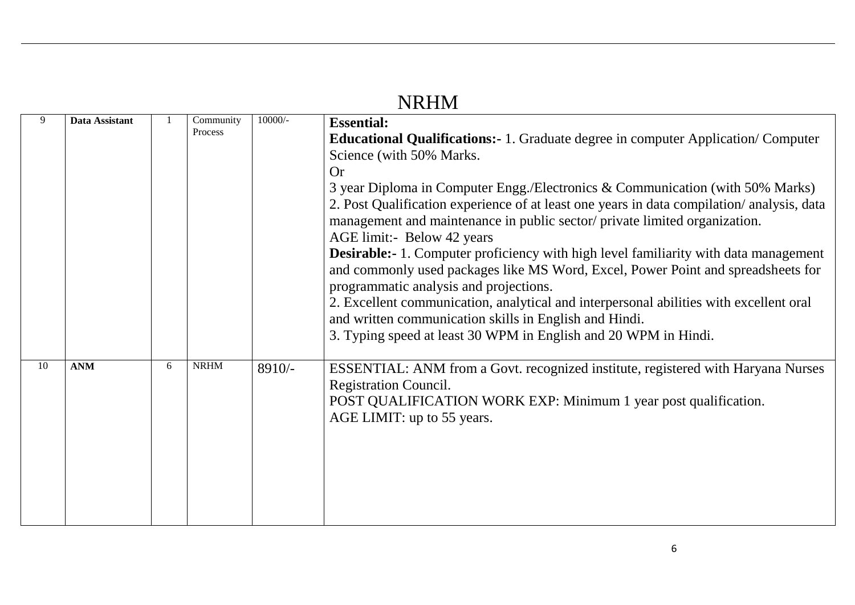|    |                |   |                      |           | <b>INKHIVI</b>                                                                                                                                                                                                                                                                                                                                                                                                                                                                                                                                                                                                                                                                                                                                                                                                                                                                                     |
|----|----------------|---|----------------------|-----------|----------------------------------------------------------------------------------------------------------------------------------------------------------------------------------------------------------------------------------------------------------------------------------------------------------------------------------------------------------------------------------------------------------------------------------------------------------------------------------------------------------------------------------------------------------------------------------------------------------------------------------------------------------------------------------------------------------------------------------------------------------------------------------------------------------------------------------------------------------------------------------------------------|
|    | Data Assistant |   | Community<br>Process | $10000/-$ | <b>Essential:</b><br><b>Educational Qualifications:-</b> 1. Graduate degree in computer Application/Computer<br>Science (with 50% Marks.<br><b>Or</b><br>3 year Diploma in Computer Engg./Electronics & Communication (with 50% Marks)<br>2. Post Qualification experience of at least one years in data compilation/analysis, data<br>management and maintenance in public sector/private limited organization.<br>AGE limit:- Below 42 years<br><b>Desirable:-</b> 1. Computer proficiency with high level familiarity with data management<br>and commonly used packages like MS Word, Excel, Power Point and spreadsheets for<br>programmatic analysis and projections.<br>2. Excellent communication, analytical and interpersonal abilities with excellent oral<br>and written communication skills in English and Hindi.<br>3. Typing speed at least 30 WPM in English and 20 WPM in Hindi. |
| 10 | <b>ANM</b>     | 6 | <b>NRHM</b>          | $8910/-$  | ESSENTIAL: ANM from a Govt. recognized institute, registered with Haryana Nurses<br><b>Registration Council.</b><br>POST QUALIFICATION WORK EXP: Minimum 1 year post qualification.<br>AGE LIMIT: up to 55 years.                                                                                                                                                                                                                                                                                                                                                                                                                                                                                                                                                                                                                                                                                  |

## **NDIM**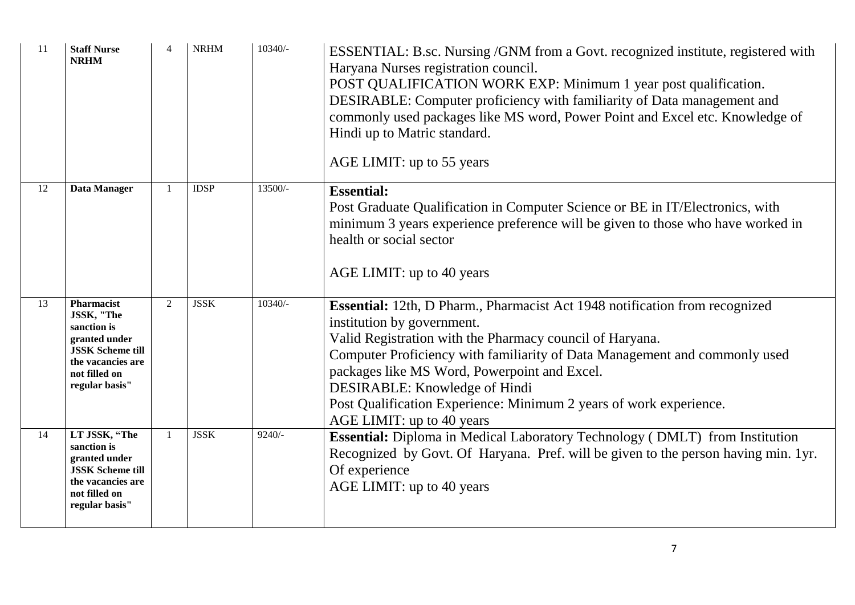| 11 | <b>Staff Nurse</b><br><b>NRHM</b>                                                                                                           | $\overline{4}$ | <b>NRHM</b> | $10340/-$ | ESSENTIAL: B.sc. Nursing /GNM from a Govt. recognized institute, registered with<br>Haryana Nurses registration council.<br>POST QUALIFICATION WORK EXP: Minimum 1 year post qualification.<br>DESIRABLE: Computer proficiency with familiarity of Data management and<br>commonly used packages like MS word, Power Point and Excel etc. Knowledge of<br>Hindi up to Matric standard.<br>AGE LIMIT: up to 55 years                     |
|----|---------------------------------------------------------------------------------------------------------------------------------------------|----------------|-------------|-----------|-----------------------------------------------------------------------------------------------------------------------------------------------------------------------------------------------------------------------------------------------------------------------------------------------------------------------------------------------------------------------------------------------------------------------------------------|
| 12 | Data Manager                                                                                                                                | -1             | <b>IDSP</b> | 13500/-   | <b>Essential:</b><br>Post Graduate Qualification in Computer Science or BE in IT/Electronics, with<br>minimum 3 years experience preference will be given to those who have worked in<br>health or social sector<br>AGE LIMIT: up to 40 years                                                                                                                                                                                           |
| 13 | Pharmacist<br>JSSK, "The<br>sanction is<br>granted under<br><b>JSSK Scheme till</b><br>the vacancies are<br>not filled on<br>regular basis" | 2              | <b>JSSK</b> | $10340/-$ | Essential: 12th, D Pharm., Pharmacist Act 1948 notification from recognized<br>institution by government.<br>Valid Registration with the Pharmacy council of Haryana.<br>Computer Proficiency with familiarity of Data Management and commonly used<br>packages like MS Word, Powerpoint and Excel.<br>DESIRABLE: Knowledge of Hindi<br>Post Qualification Experience: Minimum 2 years of work experience.<br>AGE LIMIT: up to 40 years |
| 14 | LT JSSK, "The<br>sanction is<br>granted under<br><b>JSSK Scheme till</b><br>the vacancies are<br>not filled on<br>regular basis"            | $\overline{1}$ | <b>JSSK</b> | $9240/-$  | <b>Essential:</b> Diploma in Medical Laboratory Technology (DMLT) from Institution<br>Recognized by Govt. Of Haryana. Pref. will be given to the person having min. 1yr.<br>Of experience<br>AGE LIMIT: up to 40 years                                                                                                                                                                                                                  |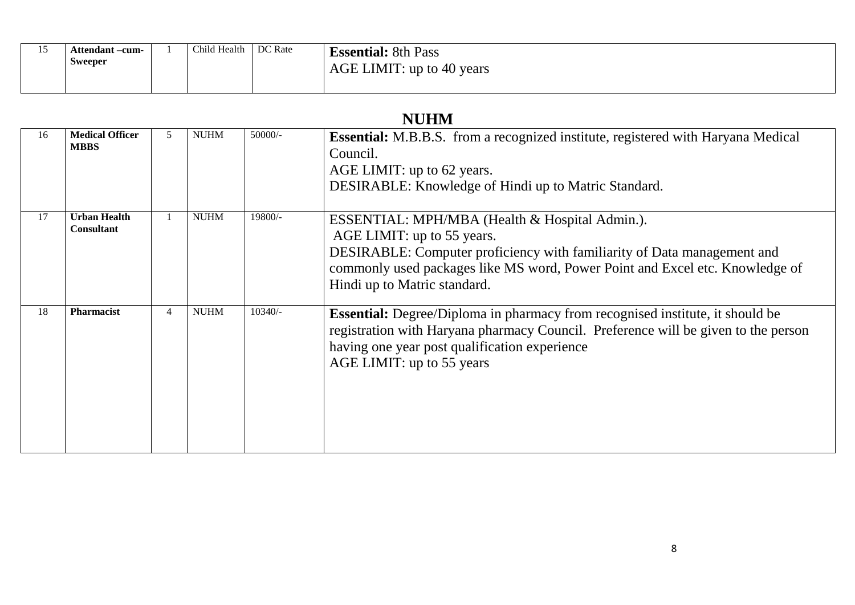| . .<br>⊥ັ | Attendant –cum-<br>Sweeper | Child Health | DC Rate | <b>Essential:</b> 8th Pass<br>AGE LIMIT: up to 40 years |
|-----------|----------------------------|--------------|---------|---------------------------------------------------------|
|           |                            |              |         |                                                         |

#### **NUHM**

| 16 | <b>Medical Officer</b><br><b>MBBS</b> |                | <b>NUHM</b> | 50000/- | <b>Essential:</b> M.B.B.S. from a recognized institute, registered with Haryana Medical<br>Council.<br>AGE LIMIT: up to 62 years.<br>DESIRABLE: Knowledge of Hindi up to Matric Standard.                                                                               |
|----|---------------------------------------|----------------|-------------|---------|-------------------------------------------------------------------------------------------------------------------------------------------------------------------------------------------------------------------------------------------------------------------------|
| 17 | <b>Urban Health</b><br>Consultant     |                | <b>NUHM</b> | 19800/- | ESSENTIAL: MPH/MBA (Health & Hospital Admin.).<br>AGE LIMIT: up to 55 years.<br>DESIRABLE: Computer proficiency with familiarity of Data management and<br>commonly used packages like MS word, Power Point and Excel etc. Knowledge of<br>Hindi up to Matric standard. |
| 18 | Pharmacist                            | $\overline{4}$ | <b>NUHM</b> | 10340/- | <b>Essential:</b> Degree/Diploma in pharmacy from recognised institute, it should be<br>registration with Haryana pharmacy Council. Preference will be given to the person<br>having one year post qualification experience<br>AGE LIMIT: up to 55 years                |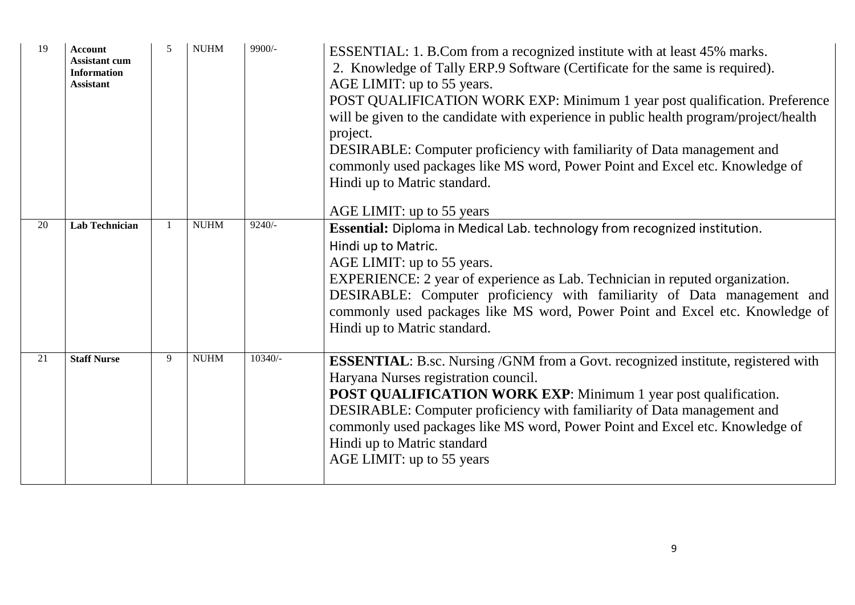| 19 | <b>Account</b><br><b>Assistant cum</b><br><b>Information</b><br><b>Assistant</b> | $\overline{5}$ | <b>NUHM</b> | 9900/-   | ESSENTIAL: 1. B.Com from a recognized institute with at least 45% marks.<br>2. Knowledge of Tally ERP.9 Software (Certificate for the same is required).<br>AGE LIMIT: up to 55 years.<br>POST QUALIFICATION WORK EXP: Minimum 1 year post qualification. Preference<br>will be given to the candidate with experience in public health program/project/health<br>project.<br>DESIRABLE: Computer proficiency with familiarity of Data management and<br>commonly used packages like MS word, Power Point and Excel etc. Knowledge of<br>Hindi up to Matric standard.<br>AGE LIMIT: up to 55 years |
|----|----------------------------------------------------------------------------------|----------------|-------------|----------|----------------------------------------------------------------------------------------------------------------------------------------------------------------------------------------------------------------------------------------------------------------------------------------------------------------------------------------------------------------------------------------------------------------------------------------------------------------------------------------------------------------------------------------------------------------------------------------------------|
| 20 | <b>Lab Technician</b>                                                            |                | <b>NUHM</b> | $9240/-$ | Essential: Diploma in Medical Lab. technology from recognized institution.<br>Hindi up to Matric.<br>AGE LIMIT: up to 55 years.<br>EXPERIENCE: 2 year of experience as Lab. Technician in reputed organization.<br>DESIRABLE: Computer proficiency with familiarity of Data management and<br>commonly used packages like MS word, Power Point and Excel etc. Knowledge of<br>Hindi up to Matric standard.                                                                                                                                                                                         |
| 21 | <b>Staff Nurse</b>                                                               | 9              | <b>NUHM</b> | 10340/-  | <b>ESSENTIAL:</b> B.sc. Nursing /GNM from a Govt. recognized institute, registered with<br>Haryana Nurses registration council.<br><b>POST QUALIFICATION WORK EXP:</b> Minimum 1 year post qualification.<br>DESIRABLE: Computer proficiency with familiarity of Data management and<br>commonly used packages like MS word, Power Point and Excel etc. Knowledge of<br>Hindi up to Matric standard<br>AGE LIMIT: up to 55 years                                                                                                                                                                   |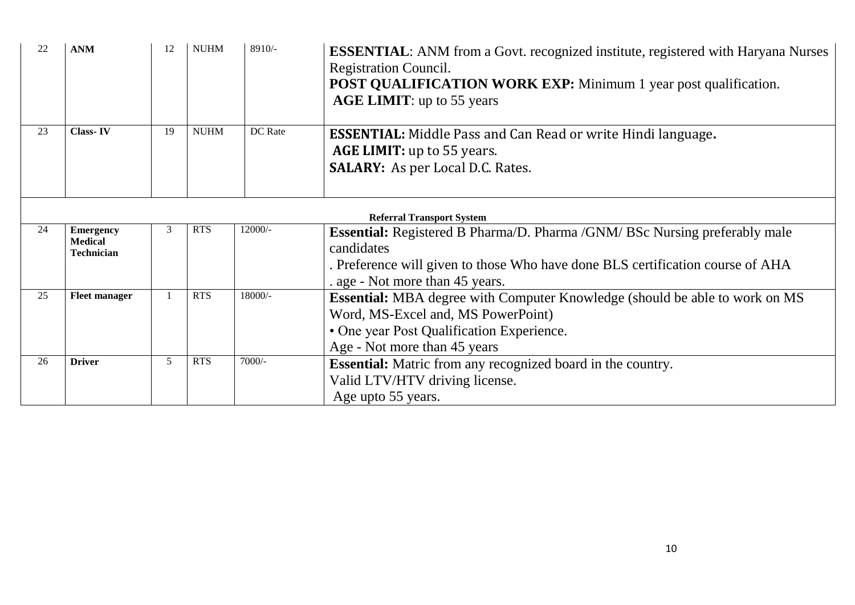| 22 | <b>ANM</b>                                              | 12 | <b>NUHM</b> | 8910/-  | <b>ESSENTIAL:</b> ANM from a Govt. recognized institute, registered with Haryana Nurses<br><b>Registration Council.</b><br><b>POST QUALIFICATION WORK EXP:</b> Minimum 1 year post qualification.<br><b>AGE LIMIT:</b> up to 55 years |
|----|---------------------------------------------------------|----|-------------|---------|---------------------------------------------------------------------------------------------------------------------------------------------------------------------------------------------------------------------------------------|
| 23 | <b>Class-IV</b>                                         | 19 | <b>NUHM</b> | DC Rate | <b>ESSENTIAL:</b> Middle Pass and Can Read or write Hindi language.<br><b>AGE LIMIT:</b> up to 55 years.<br><b>SALARY:</b> As per Local D.C. Rates.                                                                                   |
|    |                                                         |    |             |         | <b>Referral Transport System</b>                                                                                                                                                                                                      |
| 24 | <b>Emergency</b><br><b>Medical</b><br><b>Technician</b> | 3  | <b>RTS</b>  | 12000/- | <b>Essential:</b> Registered B Pharma/D. Pharma /GNM/ BSc Nursing preferably male<br>candidates<br>. Preference will given to those Who have done BLS certification course of AHA<br>. age - Not more than 45 years.                  |
| 25 | <b>Fleet manager</b>                                    |    | <b>RTS</b>  | 18000/- | <b>Essential:</b> MBA degree with Computer Knowledge (should be able to work on MS<br>Word, MS-Excel and, MS PowerPoint)<br>• One year Post Qualification Experience.<br>Age - Not more than 45 years                                 |
| 26 | <b>Driver</b>                                           | 5  | <b>RTS</b>  | 7000/-  | <b>Essential:</b> Matric from any recognized board in the country.<br>Valid LTV/HTV driving license.<br>Age upto 55 years.                                                                                                            |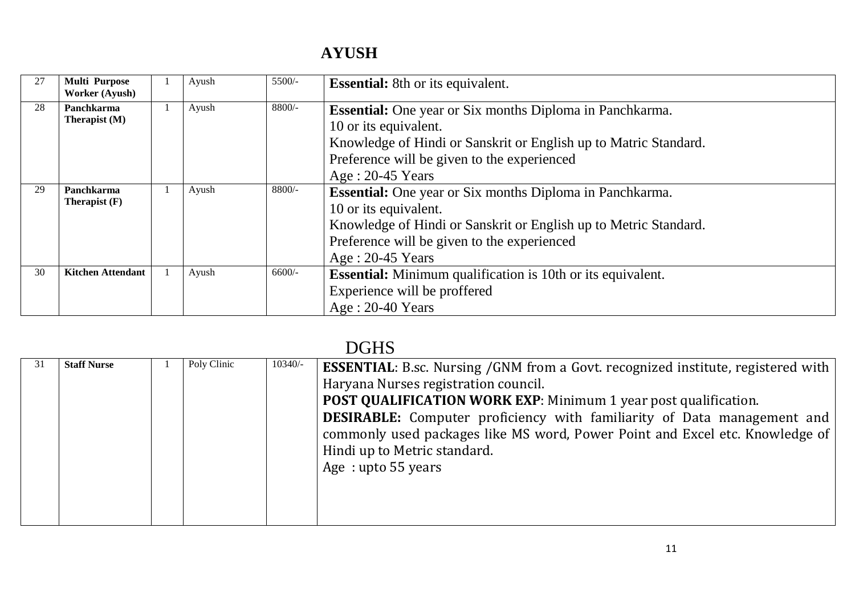### **AYUSH**

| 27 | <b>Multi Purpose</b><br><b>Worker (Ayush)</b> | Ayush | $5500/-$ | <b>Essential:</b> 8th or its equivalent.                                                                                                                                                                                          |
|----|-----------------------------------------------|-------|----------|-----------------------------------------------------------------------------------------------------------------------------------------------------------------------------------------------------------------------------------|
| 28 | Panchkarma<br>Therapist (M)                   | Ayush | 8800/-   | <b>Essential:</b> One year or Six months Diploma in Panchkarma.<br>10 or its equivalent.<br>Knowledge of Hindi or Sanskrit or English up to Matric Standard.<br>Preference will be given to the experienced<br>$Age: 20-45 Years$ |
| 29 | Panchkarma<br>Therapist $(F)$                 | Ayush | $8800/-$ | <b>Essential:</b> One year or Six months Diploma in Panchkarma.<br>10 or its equivalent.<br>Knowledge of Hindi or Sanskrit or English up to Metric Standard.<br>Preference will be given to the experienced<br>$Age: 20-45 Years$ |
| 30 | <b>Kitchen Attendant</b>                      | Ayush | 6600/-   | <b>Essential:</b> Minimum qualification is 10th or its equivalent.<br>Experience will be proffered<br>$Age: 20-40 Years$                                                                                                          |

# DGHS

| 31 | <b>Staff Nurse</b> | Poly Clinic | $10340/-$ | <b>ESSENTIAL:</b> B.sc. Nursing /GNM from a Govt. recognized institute, registered with<br>Haryana Nurses registration council.<br><b>POST QUALIFICATION WORK EXP:</b> Minimum 1 year post qualification.<br><b>DESIRABLE:</b> Computer proficiency with familiarity of Data management and<br>commonly used packages like MS word, Power Point and Excel etc. Knowledge of<br>Hindi up to Metric standard.<br>Age: upto 55 years |
|----|--------------------|-------------|-----------|-----------------------------------------------------------------------------------------------------------------------------------------------------------------------------------------------------------------------------------------------------------------------------------------------------------------------------------------------------------------------------------------------------------------------------------|
|    |                    |             |           |                                                                                                                                                                                                                                                                                                                                                                                                                                   |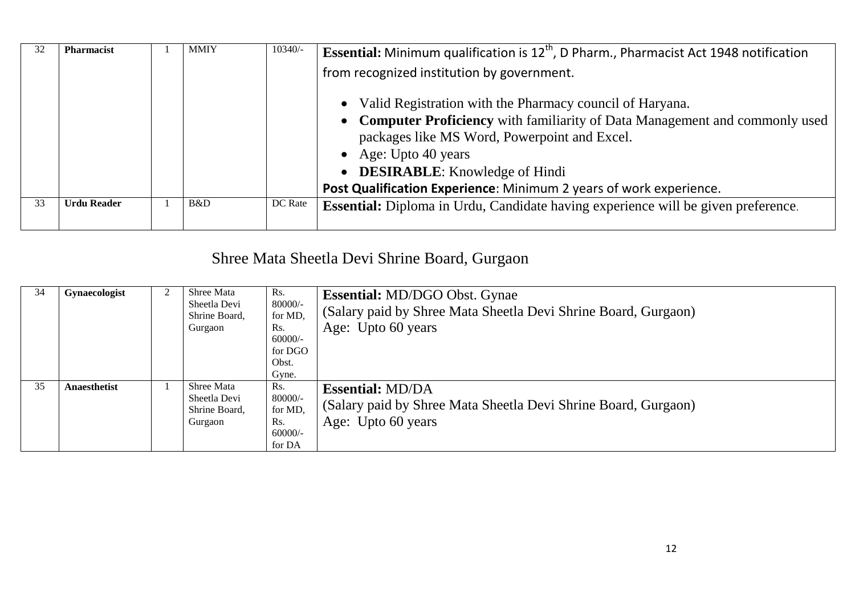|    | <b>Pharmacist</b>  | <b>MMIY</b> | 10340/- | <b>Essential:</b> Minimum qualification is $12th$ , D Pharm., Pharmacist Act 1948 notification<br>from recognized institution by government.<br>Valid Registration with the Pharmacy council of Haryana.                                                              |  |
|----|--------------------|-------------|---------|-----------------------------------------------------------------------------------------------------------------------------------------------------------------------------------------------------------------------------------------------------------------------|--|
|    |                    |             |         | • Computer Proficiency with familiarity of Data Management and commonly used<br>packages like MS Word, Powerpoint and Excel.<br>• Age: Upto 40 years<br>• <b>DESIRABLE</b> : Knowledge of Hindi<br>Post Qualification Experience: Minimum 2 years of work experience. |  |
| 33 | <b>Urdu Reader</b> | B&D         | DC Rate | Essential: Diploma in Urdu, Candidate having experience will be given preference.                                                                                                                                                                                     |  |

# Shree Mata Sheetla Devi Shrine Board, Gurgaon

| 34 | <b>Gynaecologist</b> | Shree Mata<br>Sheetla Devi<br>Shrine Board,<br>Gurgaon | Rs.<br>80000/-<br>for MD,<br>Rs.<br>$60000/-$<br>for DGO<br>Obst.<br>Gyne. | <b>Essential:</b> MD/DGO Obst. Gynae<br>(Salary paid by Shree Mata Sheetla Devi Shrine Board, Gurgaon)<br>Age: Upto 60 years |
|----|----------------------|--------------------------------------------------------|----------------------------------------------------------------------------|------------------------------------------------------------------------------------------------------------------------------|
| 35 | Anaesthetist         | Shree Mata<br>Sheetla Devi<br>Shrine Board,<br>Gurgaon | Rs.<br>80000/-<br>for MD,<br>Rs.<br>$60000/-$<br>for DA                    | <b>Essential: MD/DA</b><br>(Salary paid by Shree Mata Sheetla Devi Shrine Board, Gurgaon)<br>Age: Upto 60 years              |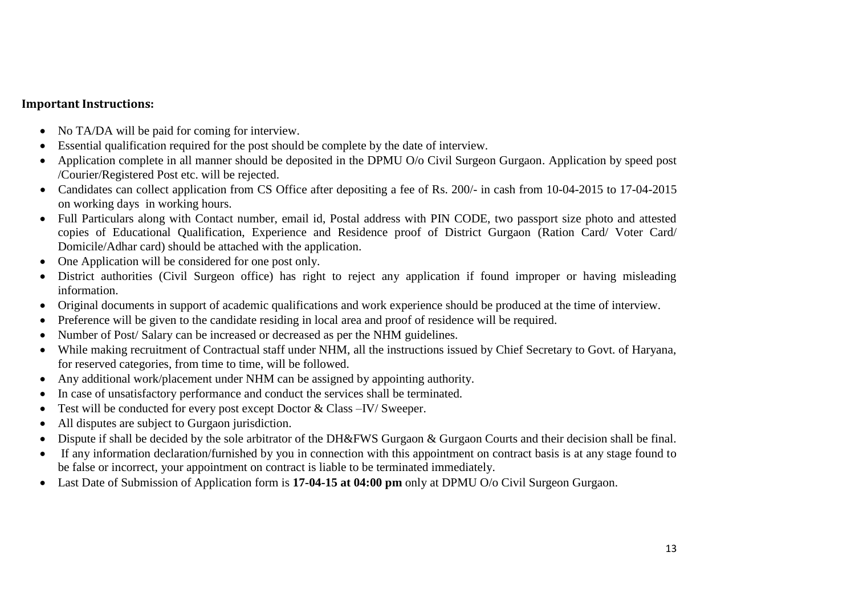#### **Important Instructions:**

- No TA/DA will be paid for coming for interview.
- Essential qualification required for the post should be complete by the date of interview.
- Application complete in all manner should be deposited in the DPMU O/o Civil Surgeon Gurgaon. Application by speed post /Courier/Registered Post etc. will be rejected.
- Candidates can collect application from CS Office after depositing a fee of Rs. 200/- in cash from 10-04-2015 to 17-04-2015 on working days in working hours.
- Full Particulars along with Contact number, email id, Postal address with PIN CODE, two passport size photo and attested copies of Educational Qualification, Experience and Residence proof of District Gurgaon (Ration Card/ Voter Card/ Domicile/Adhar card) should be attached with the application.
- One Application will be considered for one post only.
- District authorities (Civil Surgeon office) has right to reject any application if found improper or having misleading information.
- Original documents in support of academic qualifications and work experience should be produced at the time of interview.
- Preference will be given to the candidate residing in local area and proof of residence will be required.
- Number of Post/ Salary can be increased or decreased as per the NHM guidelines.
- While making recruitment of Contractual staff under NHM, all the instructions issued by Chief Secretary to Govt. of Haryana, for reserved categories, from time to time, will be followed.
- Any additional work/placement under NHM can be assigned by appointing authority.
- In case of unsatisfactory performance and conduct the services shall be terminated.
- Test will be conducted for every post except Doctor & Class –IV/ Sweeper.
- All disputes are subject to Gurgaon jurisdiction.
- Dispute if shall be decided by the sole arbitrator of the DH&FWS Gurgaon & Gurgaon Courts and their decision shall be final.
- If any information declaration/furnished by you in connection with this appointment on contract basis is at any stage found to be false or incorrect, your appointment on contract is liable to be terminated immediately.
- Last Date of Submission of Application form is **17-04-15 at 04:00 pm** only at DPMU O/o Civil Surgeon Gurgaon.